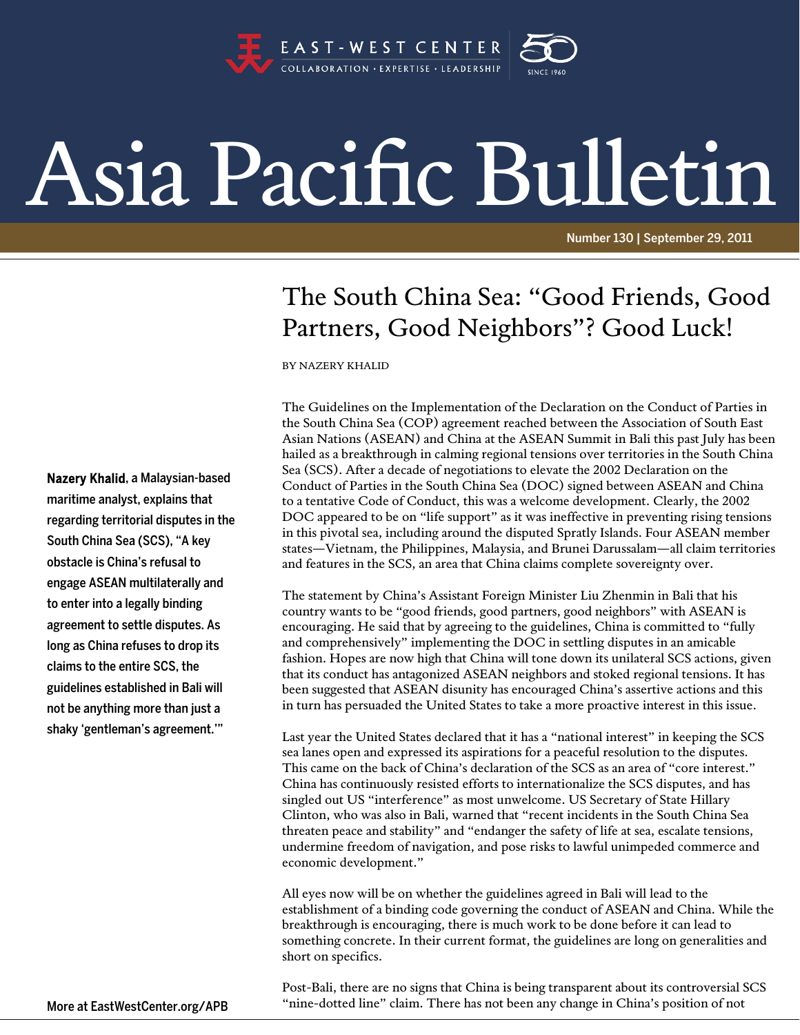

## Asia Pacific Bulletin

Number 130 | September 29, 2011

## The South China Sea: "Good Friends, Good Partners, Good Neighbors"? Good Luck!

BY NAZERY KHALID

The Guidelines on the Implementation of the Declaration on the Conduct of Parties in the South China Sea (COP) agreement reached between the Association of South East Asian Nations (ASEAN) and China at the ASEAN Summit in Bali this past July has been hailed as a breakthrough in calming regional tensions over territories in the South China Sea (SCS). After a decade of negotiations to elevate the 2002 Declaration on the Conduct of Parties in the South China Sea (DOC) signed between ASEAN and China to a tentative Code of Conduct, this was a welcome development. Clearly, the 2002 DOC appeared to be on "life support" as it was ineffective in preventing rising tensions in this pivotal sea, including around the disputed Spratly Islands. Four ASEAN member states—Vietnam, the Philippines, Malaysia, and Brunei Darussalam—all claim territories and features in the SCS, an area that China claims complete sovereignty over.

The statement by China's Assistant Foreign Minister Liu Zhenmin in Bali that his country wants to be "good friends, good partners, good neighbors" with ASEAN is encouraging. He said that by agreeing to the guidelines, China is committed to "fully and comprehensively" implementing the DOC in settling disputes in an amicable fashion. Hopes are now high that China will tone down its unilateral SCS actions, given that its conduct has antagonized ASEAN neighbors and stoked regional tensions. It has been suggested that ASEAN disunity has encouraged China's assertive actions and this in turn has persuaded the United States to take a more proactive interest in this issue.

Last year the United States declared that it has a "national interest" in keeping the SCS sea lanes open and expressed its aspirations for a peaceful resolution to the disputes. This came on the back of China's declaration of the SCS as an area of "core interest." China has continuously resisted efforts to internationalize the SCS disputes, and has singled out US "interference" as most unwelcome. US Secretary of State Hillary Clinton, who was also in Bali, warned that "recent incidents in the South China Sea threaten peace and stability" and "endanger the safety of life at sea, escalate tensions, undermine freedom of navigation, and pose risks to lawful unimpeded commerce and economic development."

All eyes now will be on whether the guidelines agreed in Bali will lead to the establishment of a binding code governing the conduct of ASEAN and China. While the breakthrough is encouraging, there is much work to be done before it can lead to something concrete. In their current format, the guidelines are long on generalities and short on specifics.

Post-Bali, there are no signs that China is being transparent about its controversial SCS "nine-dotted line" claim. There has not been any change in China's position of not

Nazery Khalid, a Malaysian-based maritime analyst, explains that regarding territorial disputes in the South China Sea (SCS), "A key obstacle is China's refusal to engage ASEAN multilaterally and to enter into a legally binding agreement to settle disputes. As long as China refuses to drop its claims to the entire SCS, the guidelines established in Bali will not be anything more than just a shaky 'gentleman's agreement.'"